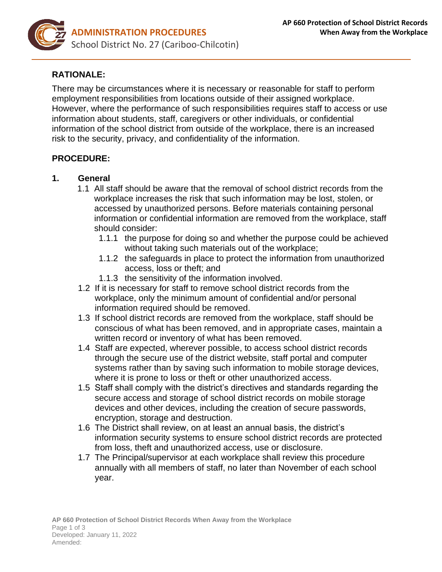

# **RATIONALE:**

There may be circumstances where it is necessary or reasonable for staff to perform employment responsibilities from locations outside of their assigned workplace. However, where the performance of such responsibilities requires staff to access or use information about students, staff, caregivers or other individuals, or confidential information of the school district from outside of the workplace, there is an increased risk to the security, privacy, and confidentiality of the information.

#### **PROCEDURE:**

#### **1. General**

- 1.1 All staff should be aware that the removal of school district records from the workplace increases the risk that such information may be lost, stolen, or accessed by unauthorized persons. Before materials containing personal information or confidential information are removed from the workplace, staff should consider:
	- 1.1.1 the purpose for doing so and whether the purpose could be achieved without taking such materials out of the workplace;
	- 1.1.2 the safeguards in place to protect the information from unauthorized access, loss or theft; and
	- 1.1.3 the sensitivity of the information involved.
- 1.2 If it is necessary for staff to remove school district records from the workplace, only the minimum amount of confidential and/or personal information required should be removed.
- 1.3 If school district records are removed from the workplace, staff should be conscious of what has been removed, and in appropriate cases, maintain a written record or inventory of what has been removed.
- 1.4 Staff are expected, wherever possible, to access school district records through the secure use of the district website, staff portal and computer systems rather than by saving such information to mobile storage devices, where it is prone to loss or theft or other unauthorized access.
- 1.5 Staff shall comply with the district's directives and standards regarding the secure access and storage of school district records on mobile storage devices and other devices, including the creation of secure passwords, encryption, storage and destruction.
- 1.6 The District shall review, on at least an annual basis, the district's information security systems to ensure school district records are protected from loss, theft and unauthorized access, use or disclosure.
- 1.7 The Principal/supervisor at each workplace shall review this procedure annually with all members of staff, no later than November of each school year.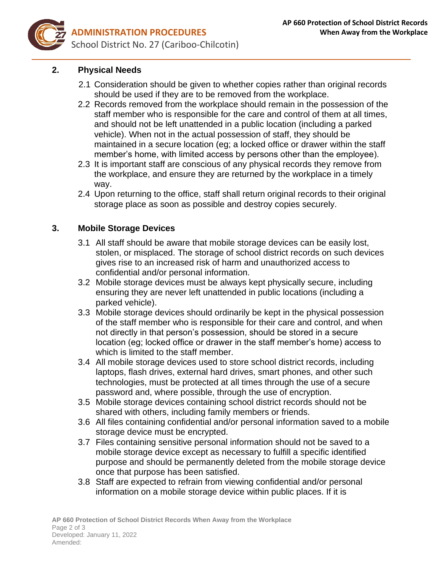

# **2. Physical Needs**

- 2.1 Consideration should be given to whether copies rather than original records should be used if they are to be removed from the workplace.
- 2.2 Records removed from the workplace should remain in the possession of the staff member who is responsible for the care and control of them at all times, and should not be left unattended in a public location (including a parked vehicle). When not in the actual possession of staff, they should be maintained in a secure location (eg; a locked office or drawer within the staff member's home, with limited access by persons other than the employee).
- 2.3 It is important staff are conscious of any physical records they remove from the workplace, and ensure they are returned by the workplace in a timely way.
- 2.4 Upon returning to the office, staff shall return original records to their original storage place as soon as possible and destroy copies securely.

## **3. Mobile Storage Devices**

- 3.1 All staff should be aware that mobile storage devices can be easily lost, stolen, or misplaced. The storage of school district records on such devices gives rise to an increased risk of harm and unauthorized access to confidential and/or personal information.
- 3.2 Mobile storage devices must be always kept physically secure, including ensuring they are never left unattended in public locations (including a parked vehicle).
- 3.3 Mobile storage devices should ordinarily be kept in the physical possession of the staff member who is responsible for their care and control, and when not directly in that person's possession, should be stored in a secure location (eg; locked office or drawer in the staff member's home) access to which is limited to the staff member.
- 3.4 All mobile storage devices used to store school district records, including laptops, flash drives, external hard drives, smart phones, and other such technologies, must be protected at all times through the use of a secure password and, where possible, through the use of encryption.
- 3.5 Mobile storage devices containing school district records should not be shared with others, including family members or friends.
- 3.6 All files containing confidential and/or personal information saved to a mobile storage device must be encrypted.
- 3.7 Files containing sensitive personal information should not be saved to a mobile storage device except as necessary to fulfill a specific identified purpose and should be permanently deleted from the mobile storage device once that purpose has been satisfied.
- 3.8 Staff are expected to refrain from viewing confidential and/or personal information on a mobile storage device within public places. If it is